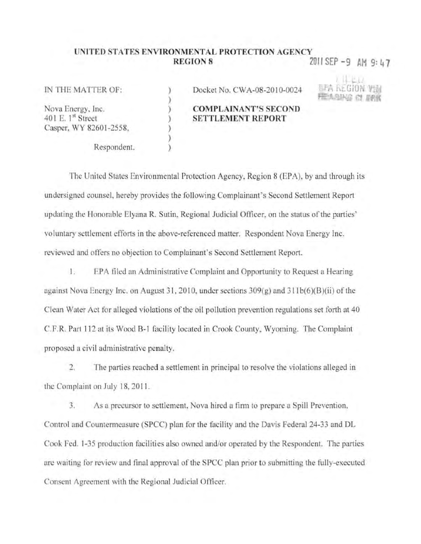## UNITED STATES ENVIRONMENTAL PROTECTION AGENCY **REGION 8**

ÿ

 $\lambda$ 

2011 SEP -9 AM 9:47

IN THE MATTER OF:

Nova Energy, Inc. 401 E. 1st Street Casper, WY 82601-2558.

Respondent.

Docket No. CWA-08-2010-0024

## **COMPLAINANT'S SECOND SETTLEMENT REPORT**

The United States Environmental Protection Agency, Region 8 (EPA), by and through its undersigned counsel, hereby provides the following Complainant's Second Settlement Report updating the Honorable Elyana R. Sutin, Regional Judicial Officer, on the status of the parties' voluntary settlement efforts in the above-referenced matter. Respondent Nova Energy Inc. reviewed and offers no objection to Complainant's Second Settlement Report.

EPA filed an Administrative Complaint and Opportunity to Request a Hearing  $1.$ against Nova Energy Inc. on August 31, 2010, under sections  $309(g)$  and  $311b(6)(B)(ii)$  of the Clean Water Act for alleged violations of the oil pollution prevention regulations set forth at 40 C.F.R. Part 112 at its Wood B-1 facility located in Crook County, Wyoming. The Complaint proposed a civil administrative penalty.

 $2.$ The parties reached a settlement in principal to resolve the violations alleged in the Complaint on July 18, 2011.

3. As a precursor to settlement. Nova hired a firm to prepare a Spill Prevention, Control and Countermeasure (SPCC) plan for the facility and the Davis Federal 24-33 and DL Cook Fed. 1-35 production facilities also owned and/or operated by the Respondent. The parties are waiting for review and final approval of the SPCC plan prior to submitting the fully-executed Consent Agreement with the Regional Judicial Officer.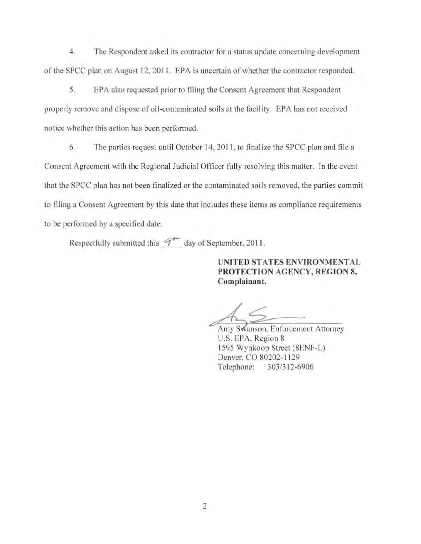4. The Respondent asked its contractor for a status update conccrning development of the SPCC plan on August 12, 2011. EPA is uncertain of whether the contractor responded.

5. EPA also requested prior to filing the Consent Agreement that Respondent properly remove and dispose of oil-contaminated soils at the facility. EPA has not received notice whether this action has been performed.

6. The parties request until October 14, 2011. to finalize the SPCC plan and file a Consent Agreement with the Regional Judicial Officer fully resolving this matter. In the event that the SPCC plan has not been finalized or the contaminated soils removed, the parties commit to filing a Consent Agreement by this date that includes these itcms as compliancc requirements to be performed by a specified date.

Respectfully submitted this  $9^{+-}$  day of September. 2011.

UNITED STATES ENVIRONMENTAL PROTECTION AGENCY, REGION 8, Complainant.

Amy Swanson, Enforcement Attorney U.S. EPA. Region 8 1595 Wynkoop Street (8ENF-L) Denver, CO 80202-1129 Telephone: 303/312-6906